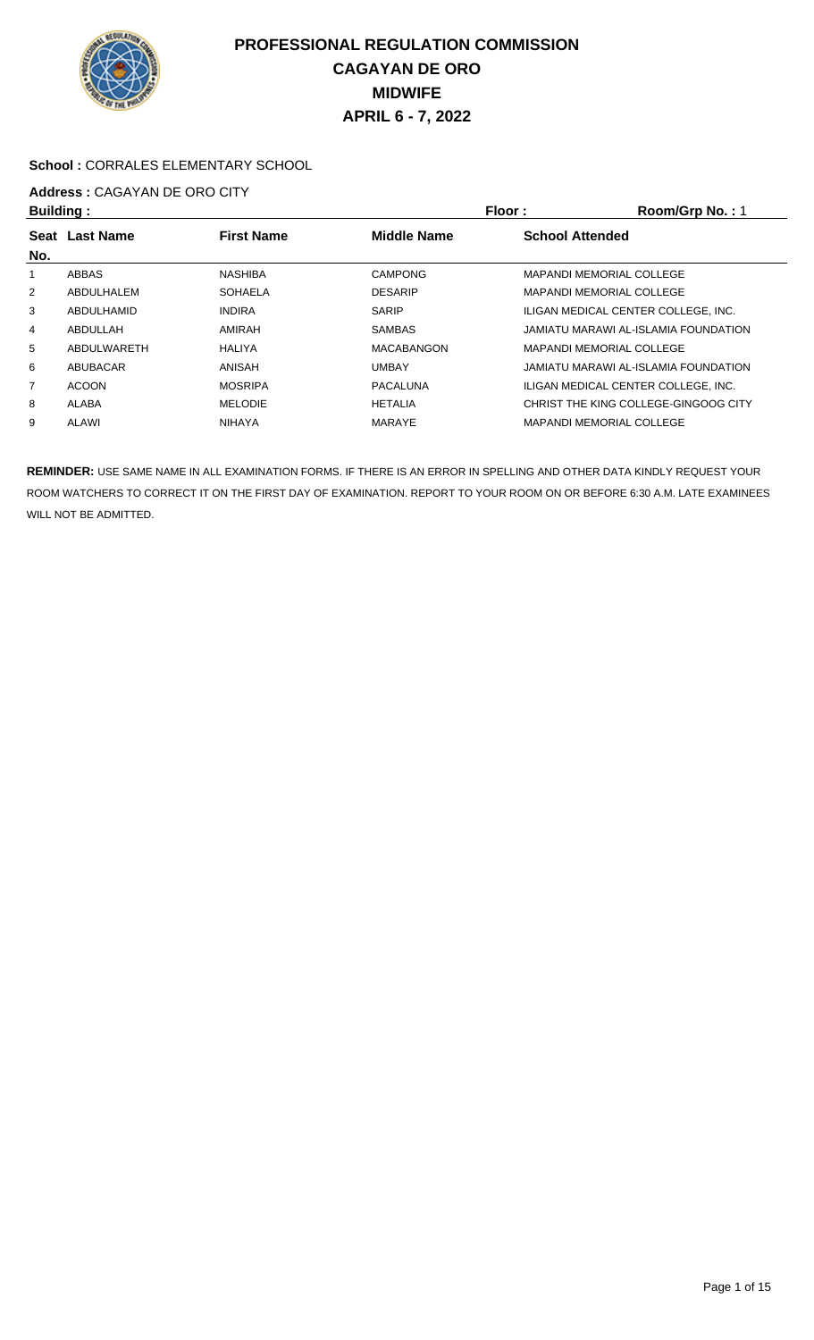

#### **School :** CORRALES ELEMENTARY SCHOOL

#### **Address :** CAGAYAN DE ORO CITY **Building : Floor : Room/Grp No. :** 1

| <b>Dununiy</b> . |                  |                   |                    | FIUUL.<br><b>NUUILIUI DI NU.</b>     |
|------------------|------------------|-------------------|--------------------|--------------------------------------|
| Seat             | <b>Last Name</b> | <b>First Name</b> | <b>Middle Name</b> | <b>School Attended</b>               |
| No.              |                  |                   |                    |                                      |
|                  | ABBAS            | NASHIBA           | <b>CAMPONG</b>     | <b>MAPANDI MEMORIAL COLLEGE</b>      |
| $\overline{2}$   | ABDULHALEM       | <b>SOHAELA</b>    | <b>DESARIP</b>     | <b>MAPANDI MEMORIAL COLLEGE</b>      |
| 3                | ABDULHAMID       | <b>INDIRA</b>     | <b>SARIP</b>       | ILIGAN MEDICAL CENTER COLLEGE. INC.  |
| 4                | ABDULLAH         | AMIRAH            | <b>SAMBAS</b>      | JAMIATU MARAWI AL-ISLAMIA FOUNDATION |
| 5                | ABDULWARETH      | HALIYA            | <b>MACABANGON</b>  | <b>MAPANDI MEMORIAL COLLEGE</b>      |
| 6                | ABUBACAR         | ANISAH            | <b>UMBAY</b>       | JAMIATU MARAWI AL-ISLAMIA FOUNDATION |
| 7                | <b>ACOON</b>     | <b>MOSRIPA</b>    | <b>PACALUNA</b>    | ILIGAN MEDICAL CENTER COLLEGE. INC.  |
| 8                | ALABA            | <b>MELODIE</b>    | <b>HETALIA</b>     | CHRIST THE KING COLLEGE-GINGOOG CITY |
| 9                | ALAWI            | <b>NIHAYA</b>     | <b>MARAYE</b>      | <b>MAPANDI MEMORIAL COLLEGE</b>      |
|                  |                  |                   |                    |                                      |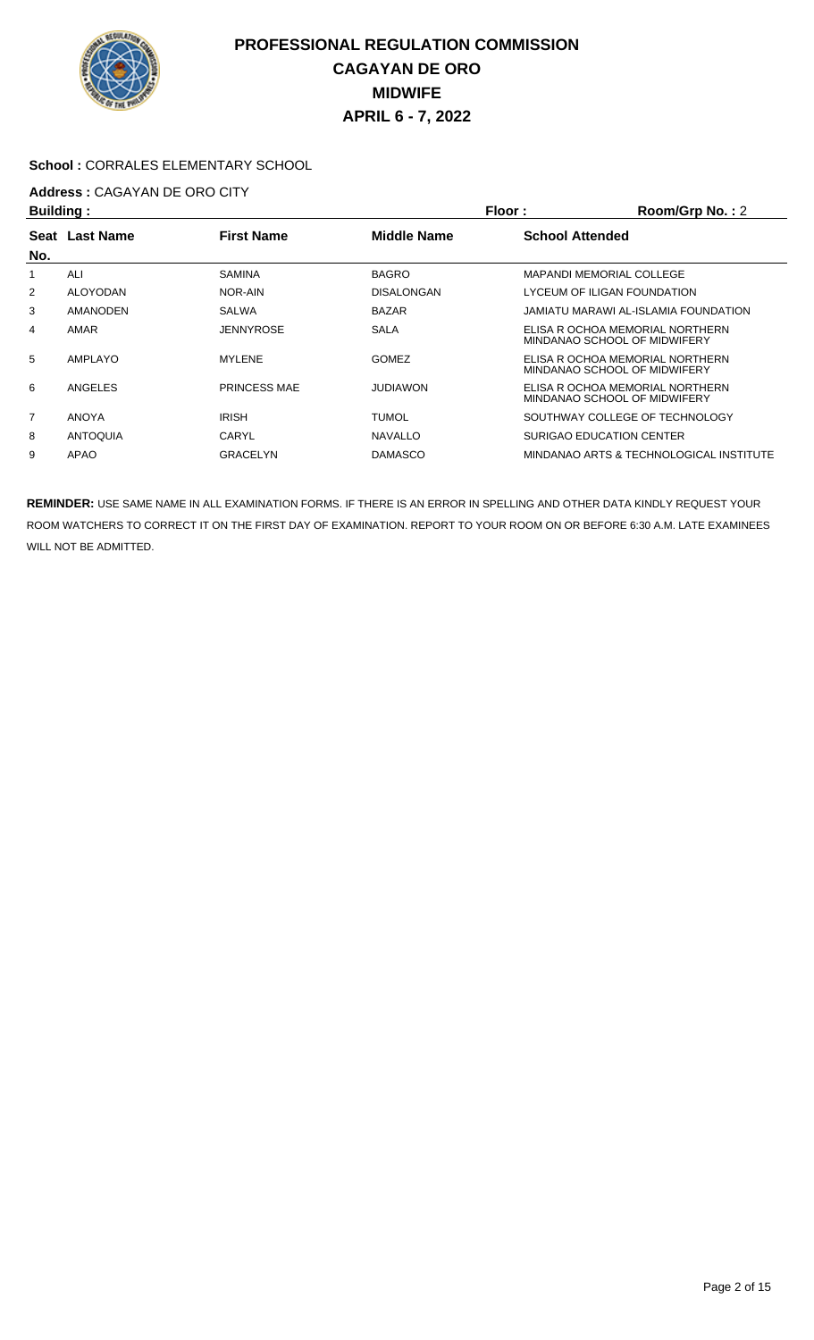

#### **School :** CORRALES ELEMENTARY SCHOOL

# **Address : CAGAYAN DE ORO CITY**<br>**Ruilding** :

| Building:      |                  |                     |                    | Floor:<br>Room/Grp No.: 2 |                                                                 |  |
|----------------|------------------|---------------------|--------------------|---------------------------|-----------------------------------------------------------------|--|
| <b>Seat</b>    | <b>Last Name</b> | <b>First Name</b>   | <b>Middle Name</b> | <b>School Attended</b>    |                                                                 |  |
| No.            |                  |                     |                    |                           |                                                                 |  |
|                | ALI              | <b>SAMINA</b>       | <b>BAGRO</b>       |                           | MAPANDI MEMORIAL COLLEGE                                        |  |
| 2              | <b>ALOYODAN</b>  | NOR-AIN             | <b>DISALONGAN</b>  |                           | LYCEUM OF ILIGAN FOUNDATION                                     |  |
| 3              | <b>AMANODEN</b>  | <b>SALWA</b>        | <b>BAZAR</b>       |                           | JAMIATU MARAWI AL-ISLAMIA FOUNDATION                            |  |
| 4              | AMAR             | <b>JENNYROSE</b>    | <b>SALA</b>        |                           | ELISA R OCHOA MEMORIAL NORTHERN<br>MINDANAO SCHOOL OF MIDWIFERY |  |
| 5              | AMPLAYO          | <b>MYLENE</b>       | <b>GOMEZ</b>       |                           | ELISA R OCHOA MEMORIAL NORTHERN<br>MINDANAO SCHOOL OF MIDWIFERY |  |
| 6              | ANGELES          | <b>PRINCESS MAE</b> | <b>JUDIAWON</b>    |                           | ELISA R OCHOA MEMORIAL NORTHERN<br>MINDANAO SCHOOL OF MIDWIFERY |  |
| $\overline{7}$ | <b>ANOYA</b>     | <b>IRISH</b>        | <b>TUMOL</b>       |                           | SOUTHWAY COLLEGE OF TECHNOLOGY                                  |  |
| 8              | <b>ANTOQUIA</b>  | CARYL               | <b>NAVALLO</b>     |                           | <b>SURIGAO EDUCATION CENTER</b>                                 |  |
| 9              | APAO             | <b>GRACELYN</b>     | <b>DAMASCO</b>     |                           | MINDANAO ARTS & TECHNOLOGICAL INSTITUTE                         |  |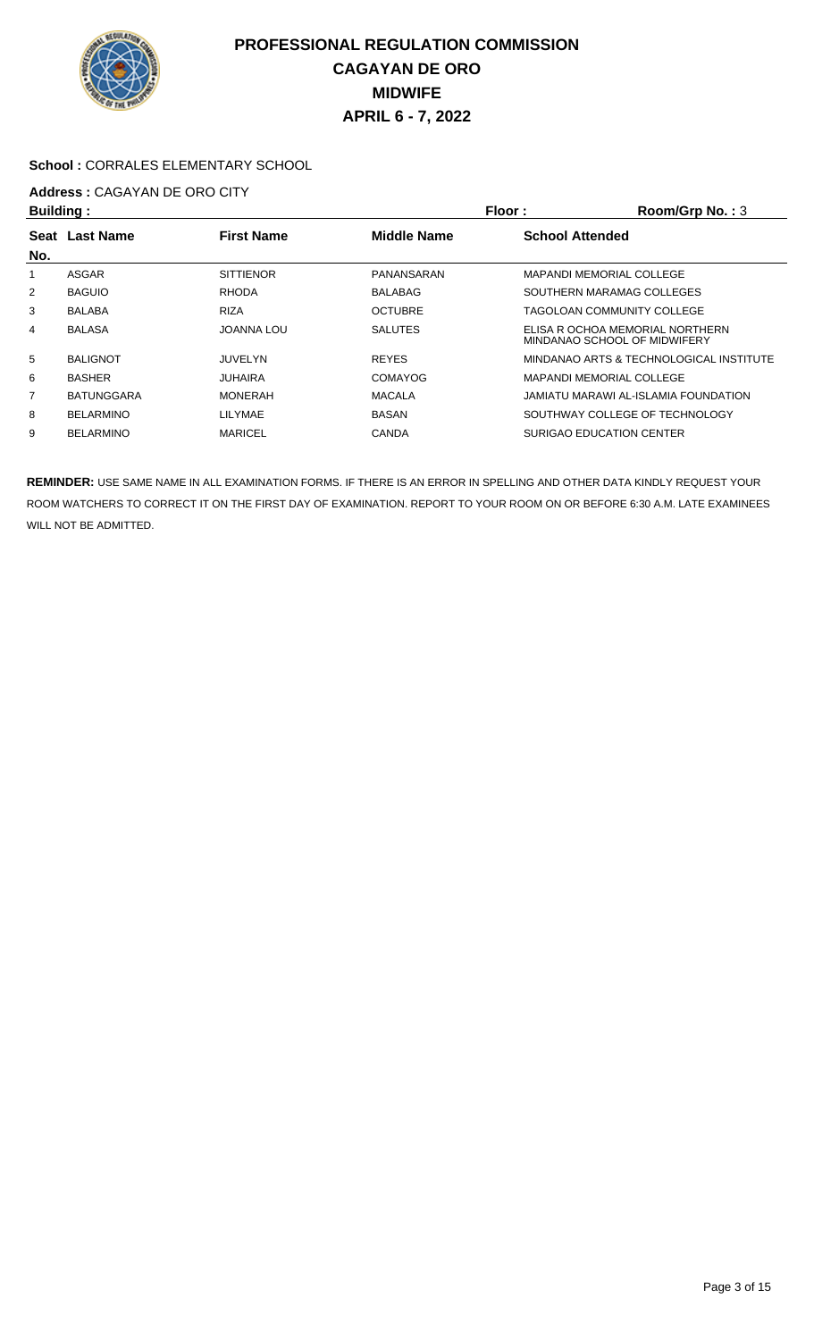

#### **School :** CORRALES ELEMENTARY SCHOOL

# **Address : CAGAYAN DE ORO CITY**<br>**Ruilding** :

| <b>Building:</b> |                   |                   | Floor:<br>Room/Grp No.: 3 |                                                                 |  |
|------------------|-------------------|-------------------|---------------------------|-----------------------------------------------------------------|--|
| Seat             | <b>Last Name</b>  | <b>First Name</b> | <b>Middle Name</b>        | <b>School Attended</b>                                          |  |
| No.              |                   |                   |                           |                                                                 |  |
|                  | <b>ASGAR</b>      | <b>SITTIENOR</b>  | PANANSARAN                | <b>MAPANDI MEMORIAL COLLEGE</b>                                 |  |
| 2                | <b>BAGUIO</b>     | <b>RHODA</b>      | <b>BALABAG</b>            | SOUTHERN MARAMAG COLLEGES                                       |  |
| 3                | <b>BALABA</b>     | <b>RIZA</b>       | <b>OCTUBRE</b>            | TAGOLOAN COMMUNITY COLLEGE                                      |  |
| 4                | <b>BALASA</b>     | <b>JOANNA LOU</b> | <b>SALUTES</b>            | ELISA R OCHOA MEMORIAL NORTHERN<br>MINDANAO SCHOOL OF MIDWIFERY |  |
| 5                | <b>BALIGNOT</b>   | <b>JUVELYN</b>    | <b>REYES</b>              | MINDANAO ARTS & TECHNOLOGICAL INSTITUTE                         |  |
| 6                | <b>BASHER</b>     | <b>JUHAIRA</b>    | <b>COMAYOG</b>            | <b>MAPANDI MEMORIAL COLLEGE</b>                                 |  |
| 7                | <b>BATUNGGARA</b> | <b>MONERAH</b>    | <b>MACALA</b>             | JAMIATU MARAWI AL-ISLAMIA FOUNDATION                            |  |
| 8                | <b>BELARMINO</b>  | LILYMAE           | <b>BASAN</b>              | SOUTHWAY COLLEGE OF TECHNOLOGY                                  |  |
| 9                | <b>BELARMINO</b>  | <b>MARICEL</b>    | <b>CANDA</b>              | <b>SURIGAO EDUCATION CENTER</b>                                 |  |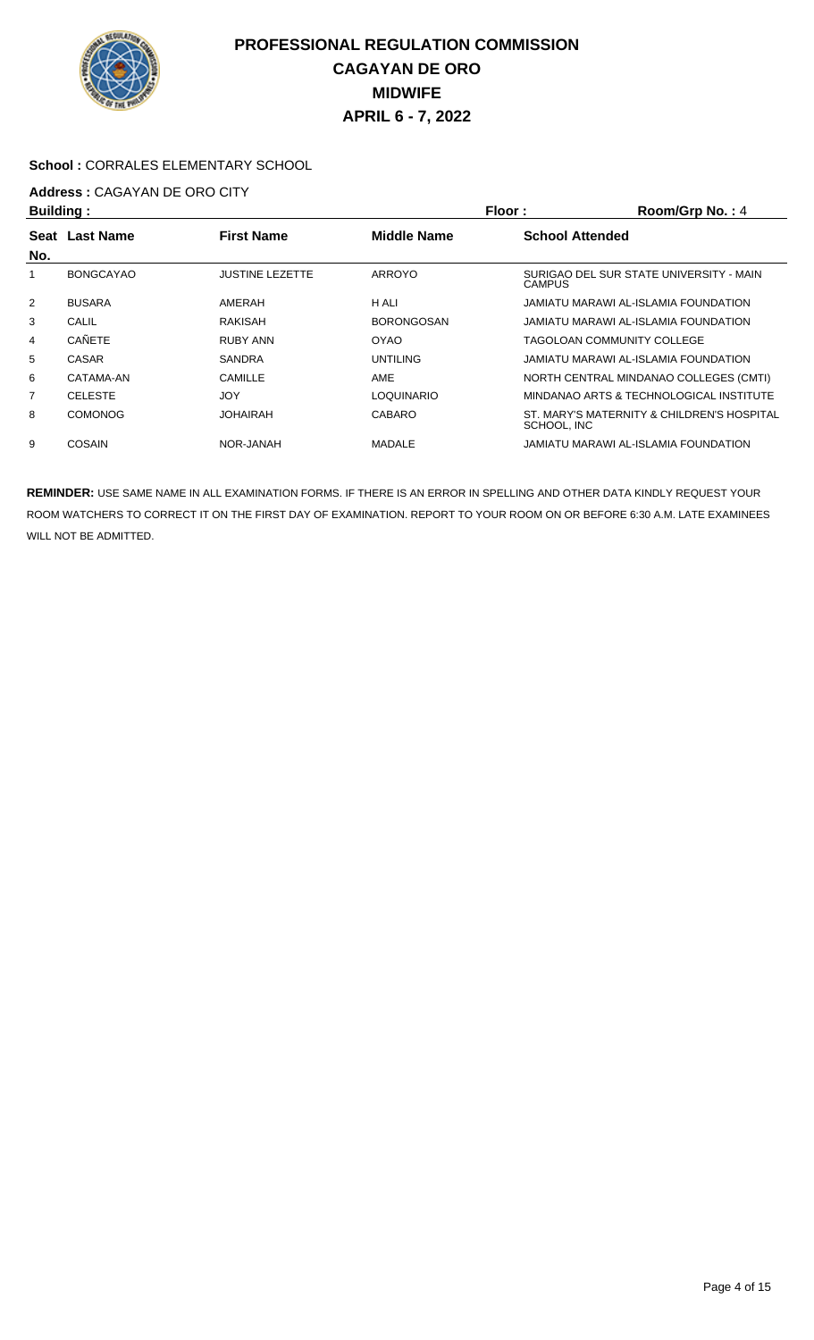

#### **School :** CORRALES ELEMENTARY SCHOOL

# **Address :** CAGAYAN DE ORO CITY

| Building:      |                  |                        | Floor:<br>Room/Grp No.: 4 |                        |                                            |
|----------------|------------------|------------------------|---------------------------|------------------------|--------------------------------------------|
| <b>Seat</b>    | <b>Last Name</b> | <b>First Name</b>      | <b>Middle Name</b>        | <b>School Attended</b> |                                            |
| No.            |                  |                        |                           |                        |                                            |
|                | <b>BONGCAYAO</b> | <b>JUSTINE LEZETTE</b> | <b>ARROYO</b>             | <b>CAMPUS</b>          | SURIGAO DEL SUR STATE UNIVERSITY - MAIN    |
| $\overline{2}$ | <b>BUSARA</b>    | AMERAH                 | H ALI                     |                        | JAMIATU MARAWI AL-ISLAMIA FOUNDATION       |
| 3              | <b>CALIL</b>     | <b>RAKISAH</b>         | <b>BORONGOSAN</b>         |                        | JAMIATU MARAWI AL-ISLAMIA FOUNDATION       |
| 4              | <b>CAÑETE</b>    | RUBY ANN               | OYAO                      |                        | TAGOLOAN COMMUNITY COLLEGE                 |
| 5              | CASAR            | <b>SANDRA</b>          | <b>UNTILING</b>           |                        | JAMIATU MARAWI AL-ISLAMIA FOUNDATION       |
| 6              | CATAMA-AN        | CAMILLE                | AME                       |                        | NORTH CENTRAL MINDANAO COLLEGES (CMTI)     |
| 7              | <b>CELESTE</b>   | <b>JOY</b>             | LOQUINARIO                |                        | MINDANAO ARTS & TECHNOLOGICAL INSTITUTE    |
| 8              | <b>COMONOG</b>   | <b>JOHAIRAH</b>        | CABARO                    | SCHOOL, INC            | ST. MARY'S MATERNITY & CHILDREN'S HOSPITAL |
| 9              | COSAIN           | NOR-JANAH              | <b>MADALE</b>             |                        | JAMIATU MARAWI AL-ISLAMIA FOUNDATION       |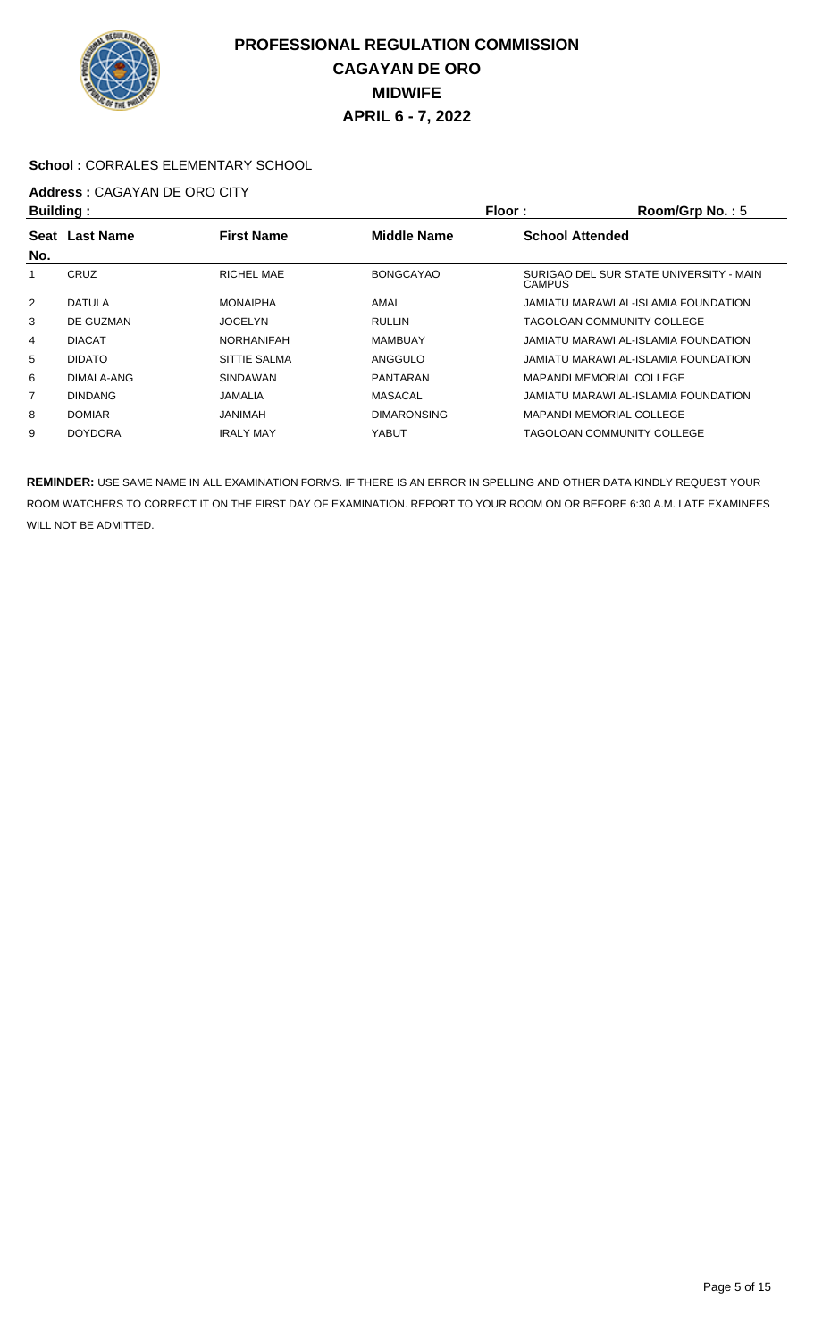

#### **School :** CORRALES ELEMENTARY SCHOOL

# **Address :** CAGAYAN DE ORO CITY

| <b>Building:</b> |                |                   | Floor:<br>Room/Grp No.: $5$ |                                                          |  |
|------------------|----------------|-------------------|-----------------------------|----------------------------------------------------------|--|
|                  | Seat Last Name | <b>First Name</b> | <b>Middle Name</b>          | <b>School Attended</b>                                   |  |
| No.              |                |                   |                             |                                                          |  |
|                  | CRUZ           | RICHEL MAE        | <b>BONGCAYAO</b>            | SURIGAO DEL SUR STATE UNIVERSITY - MAIN<br><b>CAMPUS</b> |  |
| 2                | <b>DATULA</b>  | <b>MONAIPHA</b>   | AMAL                        | JAMIATU MARAWI AL-ISLAMIA FOUNDATION                     |  |
| 3                | DE GUZMAN      | <b>JOCELYN</b>    | <b>RULLIN</b>               | TAGOLOAN COMMUNITY COLLEGE                               |  |
| 4                | <b>DIACAT</b>  | <b>NORHANIFAH</b> | <b>MAMBUAY</b>              | JAMIATU MARAWI AL-ISLAMIA FOUNDATION                     |  |
| 5                | <b>DIDATO</b>  | SITTIE SALMA      | ANGGULO                     | JAMIATU MARAWI AL-ISLAMIA FOUNDATION                     |  |
| 6                | DIMALA-ANG     | SINDAWAN          | PANTARAN                    | <b>MAPANDI MEMORIAL COLLEGE</b>                          |  |
| $\overline{7}$   | <b>DINDANG</b> | JAMALIA           | MASACAL                     | JAMIATU MARAWI AL-ISLAMIA FOUNDATION                     |  |
| 8                | <b>DOMIAR</b>  | <b>JANIMAH</b>    | <b>DIMARONSING</b>          | <b>MAPANDI MEMORIAL COLLEGE</b>                          |  |
| 9                | <b>DOYDORA</b> | <b>IRALY MAY</b>  | YABUT                       | TAGOLOAN COMMUNITY COLLEGE                               |  |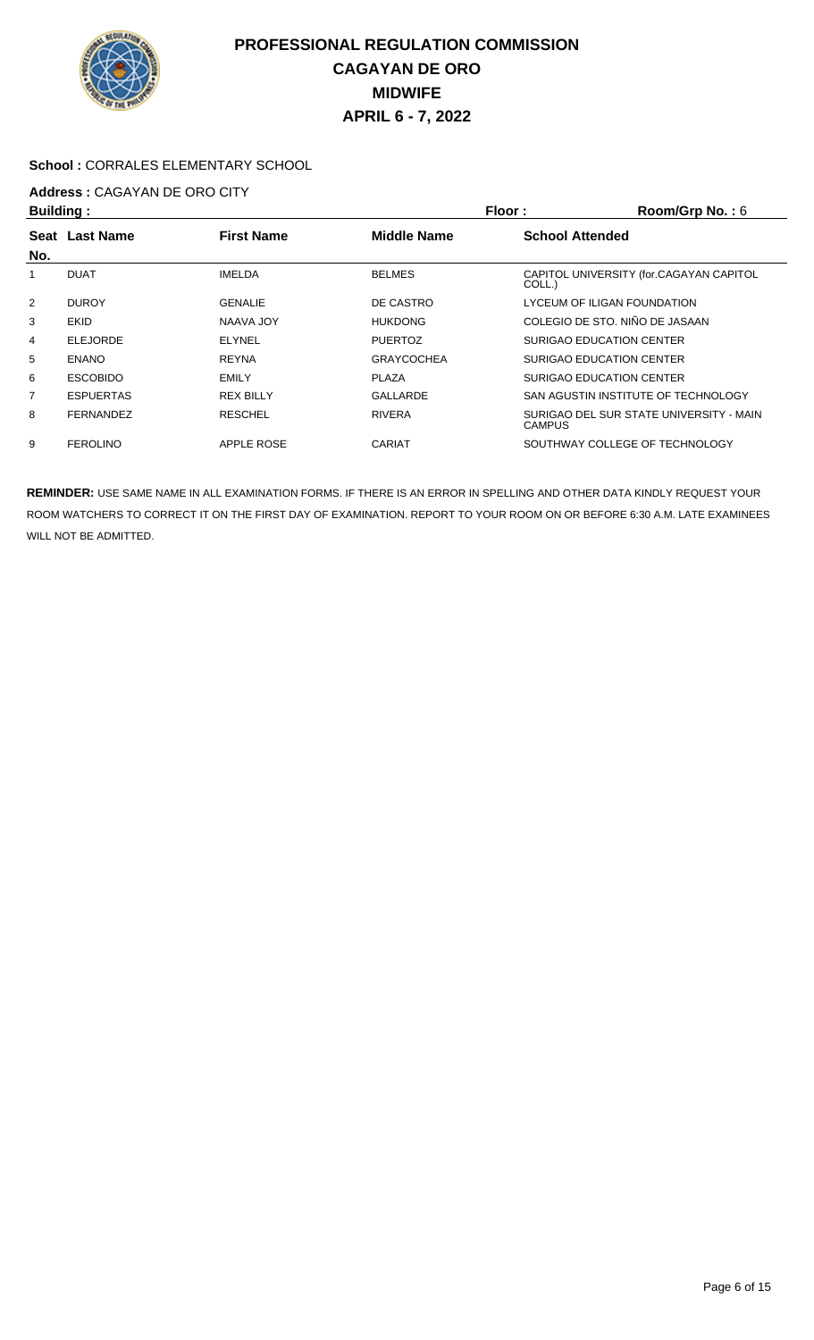

#### **School :** CORRALES ELEMENTARY SCHOOL

# **Address :** CAGAYAN DE ORO CITY

| <b>Building:</b> |                  |                   | Floor:             | Room/Grp No.: 6                                          |
|------------------|------------------|-------------------|--------------------|----------------------------------------------------------|
| Seat             | <b>Last Name</b> | <b>First Name</b> | <b>Middle Name</b> | <b>School Attended</b>                                   |
| No.              |                  |                   |                    |                                                          |
|                  | <b>DUAT</b>      | <b>IMELDA</b>     | <b>BELMES</b>      | CAPITOL UNIVERSITY (for.CAGAYAN CAPITOL<br>COLL.)        |
| $\overline{2}$   | <b>DUROY</b>     | <b>GENALIE</b>    | DE CASTRO          | LYCEUM OF ILIGAN FOUNDATION                              |
| 3                | <b>EKID</b>      | NAAVA JOY         | <b>HUKDONG</b>     | COLEGIO DE STO. NIÑO DE JASAAN                           |
| 4                | <b>ELEJORDE</b>  | <b>ELYNEL</b>     | <b>PUERTOZ</b>     | <b>SURIGAO EDUCATION CENTER</b>                          |
| 5                | <b>ENANO</b>     | <b>REYNA</b>      | <b>GRAYCOCHEA</b>  | SURIGAO EDUCATION CENTER                                 |
| 6                | <b>ESCOBIDO</b>  | <b>EMILY</b>      | PLAZA              | SURIGAO EDUCATION CENTER                                 |
| 7                | <b>ESPUERTAS</b> | <b>REX BILLY</b>  | GALLARDE           | SAN AGUSTIN INSTITUTE OF TECHNOLOGY                      |
| 8                | <b>FERNANDEZ</b> | <b>RESCHEL</b>    | <b>RIVERA</b>      | SURIGAO DEL SUR STATE UNIVERSITY - MAIN<br><b>CAMPUS</b> |
| 9                | <b>FEROLINO</b>  | <b>APPLE ROSE</b> | <b>CARIAT</b>      | SOUTHWAY COLLEGE OF TECHNOLOGY                           |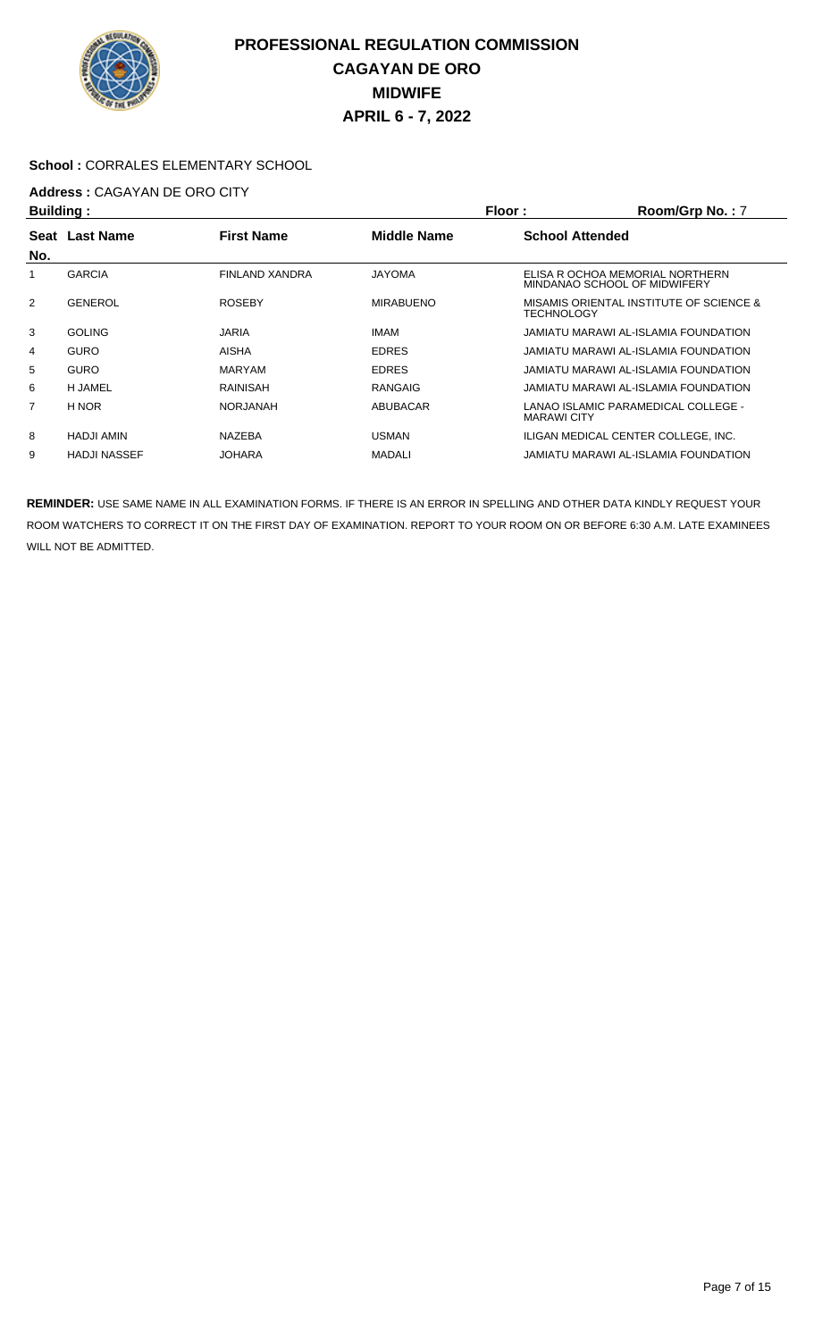

### **School :** CORRALES ELEMENTARY SCHOOL

# **Address :** CAGAYAN DE ORO CITY

| Building:      |                     |                       |                    | Floor:<br>Room/Grp No.: 7 |                                                                 |  |
|----------------|---------------------|-----------------------|--------------------|---------------------------|-----------------------------------------------------------------|--|
| Seat           | <b>Last Name</b>    | <b>First Name</b>     | <b>Middle Name</b> | <b>School Attended</b>    |                                                                 |  |
| No.            |                     |                       |                    |                           |                                                                 |  |
|                | <b>GARCIA</b>       | <b>FINLAND XANDRA</b> | <b>JAYOMA</b>      |                           | ELISA R OCHOA MEMORIAL NORTHERN<br>MINDANAO SCHOOL OF MIDWIFERY |  |
| $\overline{2}$ | <b>GENEROL</b>      | <b>ROSEBY</b>         | <b>MIRABUENO</b>   | <b>TECHNOLOGY</b>         | MISAMIS ORIENTAL INSTITUTE OF SCIENCE &                         |  |
| 3              | <b>GOLING</b>       | <b>JARIA</b>          | <b>IMAM</b>        |                           | JAMIATU MARAWI AL-ISLAMIA FOUNDATION                            |  |
| 4              | <b>GURO</b>         | AISHA                 | <b>EDRES</b>       |                           | JAMIATU MARAWI AL-ISLAMIA FOUNDATION                            |  |
| 5              | <b>GURO</b>         | <b>MARYAM</b>         | <b>EDRES</b>       |                           | JAMIATU MARAWI AL-ISLAMIA FOUNDATION                            |  |
| 6              | <b>H JAMEL</b>      | <b>RAINISAH</b>       | <b>RANGAIG</b>     |                           | JAMIATU MARAWI AL-ISLAMIA FOUNDATION                            |  |
| 7              | H NOR               | NORJANAH              | ABUBACAR           | <b>MARAWI CITY</b>        | LANAO ISLAMIC PARAMEDICAL COLLEGE -                             |  |
| 8              | <b>HADJI AMIN</b>   | <b>NAZEBA</b>         | <b>USMAN</b>       |                           | ILIGAN MEDICAL CENTER COLLEGE. INC.                             |  |
| 9              | <b>HADJI NASSEF</b> | <b>JOHARA</b>         | <b>MADALI</b>      |                           | JAMIATU MARAWI AL-ISLAMIA FOUNDATION                            |  |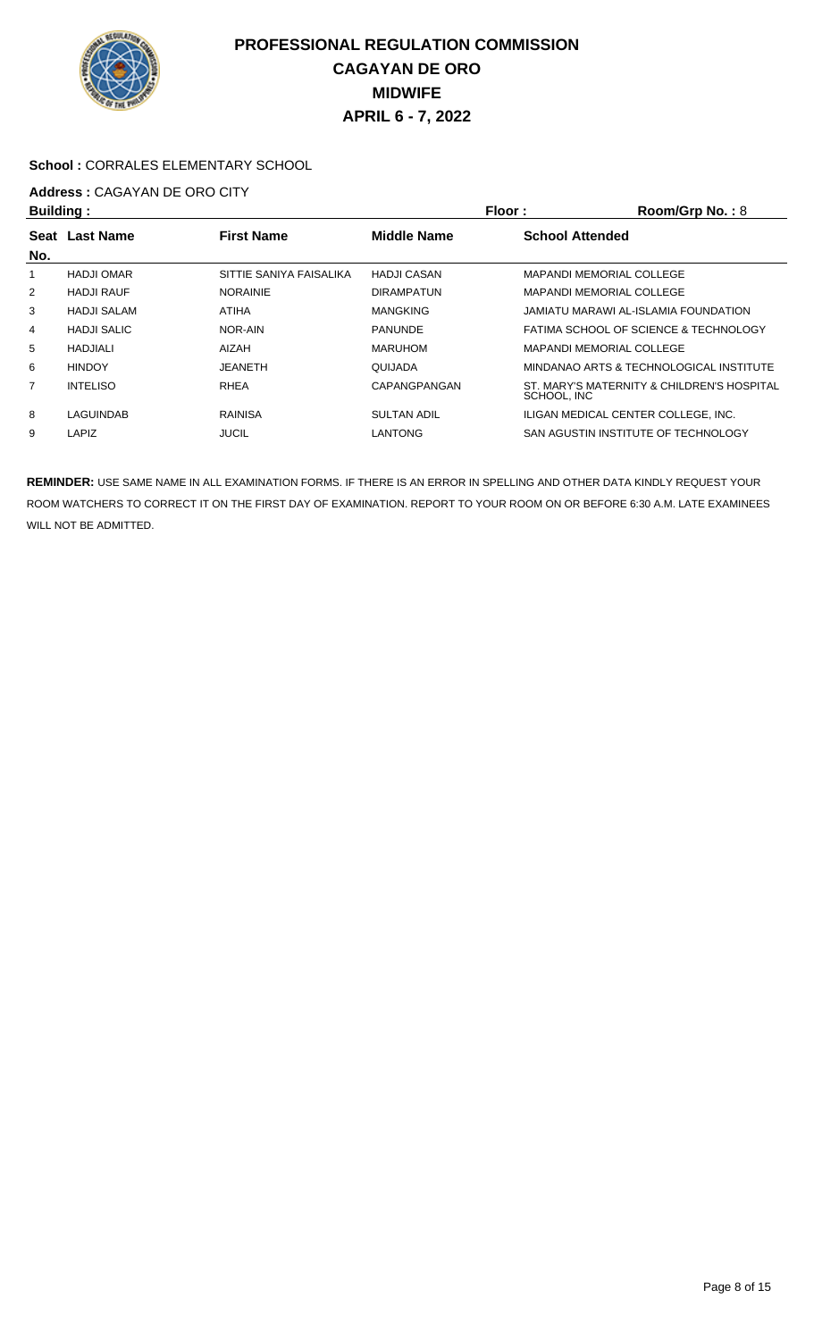

### **School :** CORRALES ELEMENTARY SCHOOL

# **Address : CAGAYAN DE ORO CITY**<br>**Ruilding** :

| <b>Building:</b> |                    | Floor:                  |                    | Room/Grp No.: 8        |                                            |
|------------------|--------------------|-------------------------|--------------------|------------------------|--------------------------------------------|
|                  | Seat Last Name     | <b>First Name</b>       | <b>Middle Name</b> | <b>School Attended</b> |                                            |
| No.              |                    |                         |                    |                        |                                            |
|                  | <b>HADJI OMAR</b>  | SITTIE SANIYA FAISALIKA | <b>HADJI CASAN</b> |                        | <b>MAPANDI MEMORIAL COLLEGE</b>            |
| 2                | <b>HADJI RAUF</b>  | <b>NORAINIE</b>         | <b>DIRAMPATUN</b>  |                        | <b>MAPANDI MEMORIAL COLLEGE</b>            |
| 3                | <b>HADJI SALAM</b> | <b>ATIHA</b>            | <b>MANGKING</b>    |                        | JAMIATU MARAWI AL-ISLAMIA FOUNDATION       |
| $\overline{4}$   | <b>HADJI SALIC</b> | NOR-AIN                 | <b>PANUNDE</b>     |                        | FATIMA SCHOOL OF SCIENCE & TECHNOLOGY      |
| 5                | HADJIALI           | AIZAH                   | <b>MARUHOM</b>     |                        | <b>MAPANDI MEMORIAL COLLEGE</b>            |
| 6                | <b>HINDOY</b>      | <b>JEANETH</b>          | QUIJADA            |                        | MINDANAO ARTS & TECHNOLOGICAL INSTITUTE    |
| 7                | <b>INTELISO</b>    | <b>RHEA</b>             | CAPANGPANGAN       | SCHOOL, INC            | ST. MARY'S MATERNITY & CHILDREN'S HOSPITAL |
| 8                | LAGUINDAB          | <b>RAINISA</b>          | <b>SULTAN ADIL</b> |                        | ILIGAN MEDICAL CENTER COLLEGE. INC.        |
| 9                | LAPIZ              | <b>JUCIL</b>            | <b>LANTONG</b>     |                        | SAN AGUSTIN INSTITUTE OF TECHNOLOGY        |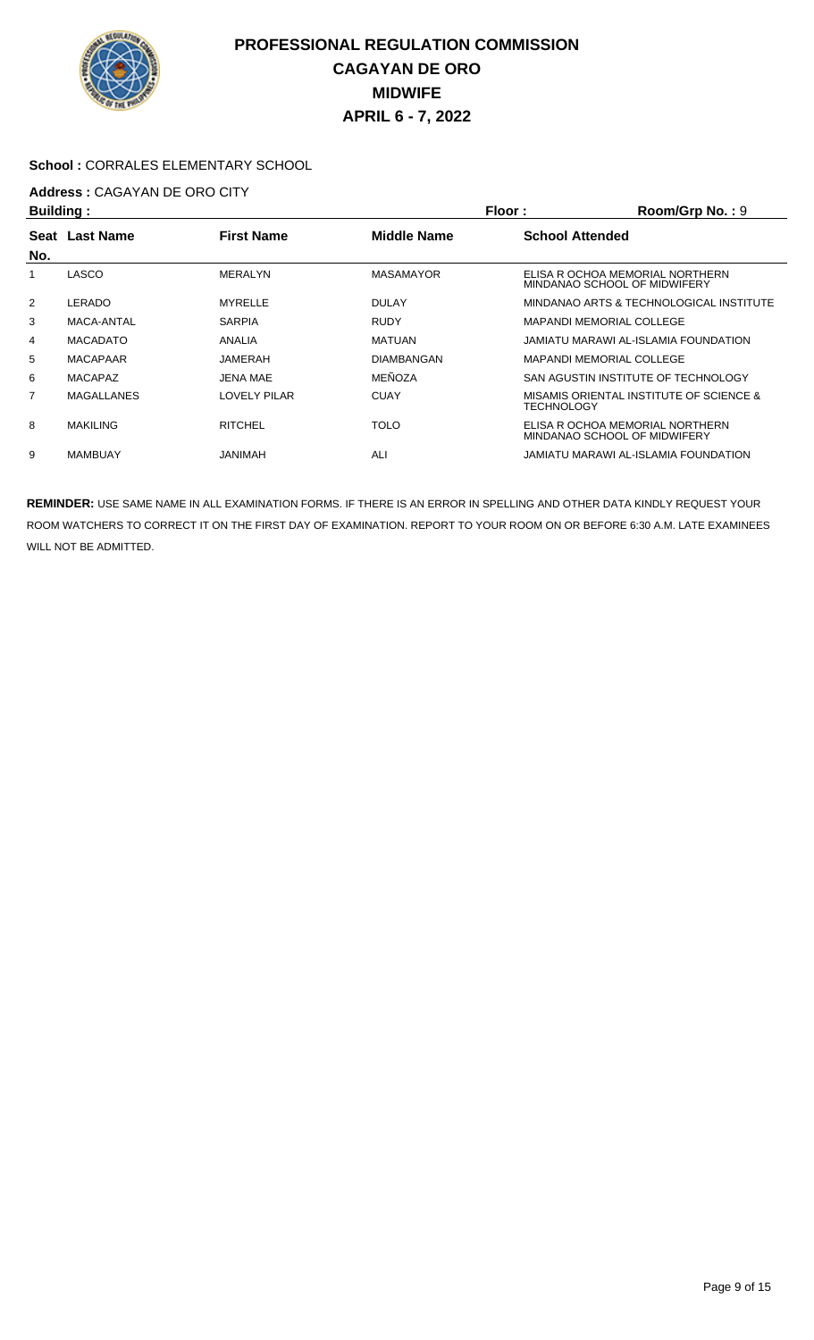

#### **School :** CORRALES ELEMENTARY SCHOOL

# **Address :** CAGAYAN DE ORO CITY

| <b>Building:</b> |                   |                     |                    | Floor:<br>Room/Grp No.: 9 |                                                                 |  |
|------------------|-------------------|---------------------|--------------------|---------------------------|-----------------------------------------------------------------|--|
| Seat             | <b>Last Name</b>  | <b>First Name</b>   | <b>Middle Name</b> | <b>School Attended</b>    |                                                                 |  |
| No.              |                   |                     |                    |                           |                                                                 |  |
|                  | LASCO             | <b>MERALYN</b>      | <b>MASAMAYOR</b>   |                           | ELISA R OCHOA MEMORIAL NORTHERN<br>MINDANAO SCHOOL OF MIDWIFERY |  |
| $\overline{2}$   | LERADO            | <b>MYRELLE</b>      | <b>DULAY</b>       |                           | MINDANAO ARTS & TECHNOLOGICAL INSTITUTE                         |  |
| 3                | MACA-ANTAL        | <b>SARPIA</b>       | <b>RUDY</b>        |                           | <b>MAPANDI MEMORIAL COLLEGE</b>                                 |  |
| 4                | <b>MACADATO</b>   | ANALIA              | <b>MATUAN</b>      |                           | JAMIATU MARAWI AL-ISLAMIA FOUNDATION                            |  |
| 5                | <b>MACAPAAR</b>   | JAMERAH             | <b>DIAMBANGAN</b>  |                           | <b>MAPANDI MEMORIAL COLLEGE</b>                                 |  |
| 6                | MACAPAZ           | <b>JENA MAE</b>     | MEÑOZA             |                           | SAN AGUSTIN INSTITUTE OF TECHNOLOGY                             |  |
| 7                | <b>MAGALLANES</b> | <b>LOVELY PILAR</b> | <b>CUAY</b>        | TECHNOLOGY                | MISAMIS ORIENTAL INSTITUTE OF SCIENCE &                         |  |
| 8                | <b>MAKILING</b>   | <b>RITCHEL</b>      | <b>TOLO</b>        |                           | ELISA R OCHOA MEMORIAL NORTHERN<br>MINDANAO SCHOOL OF MIDWIFERY |  |
| 9                | <b>MAMBUAY</b>    | HANIMAH             | ALI                |                           | JAMIATU MARAWI AL-ISLAMIA FOUNDATION                            |  |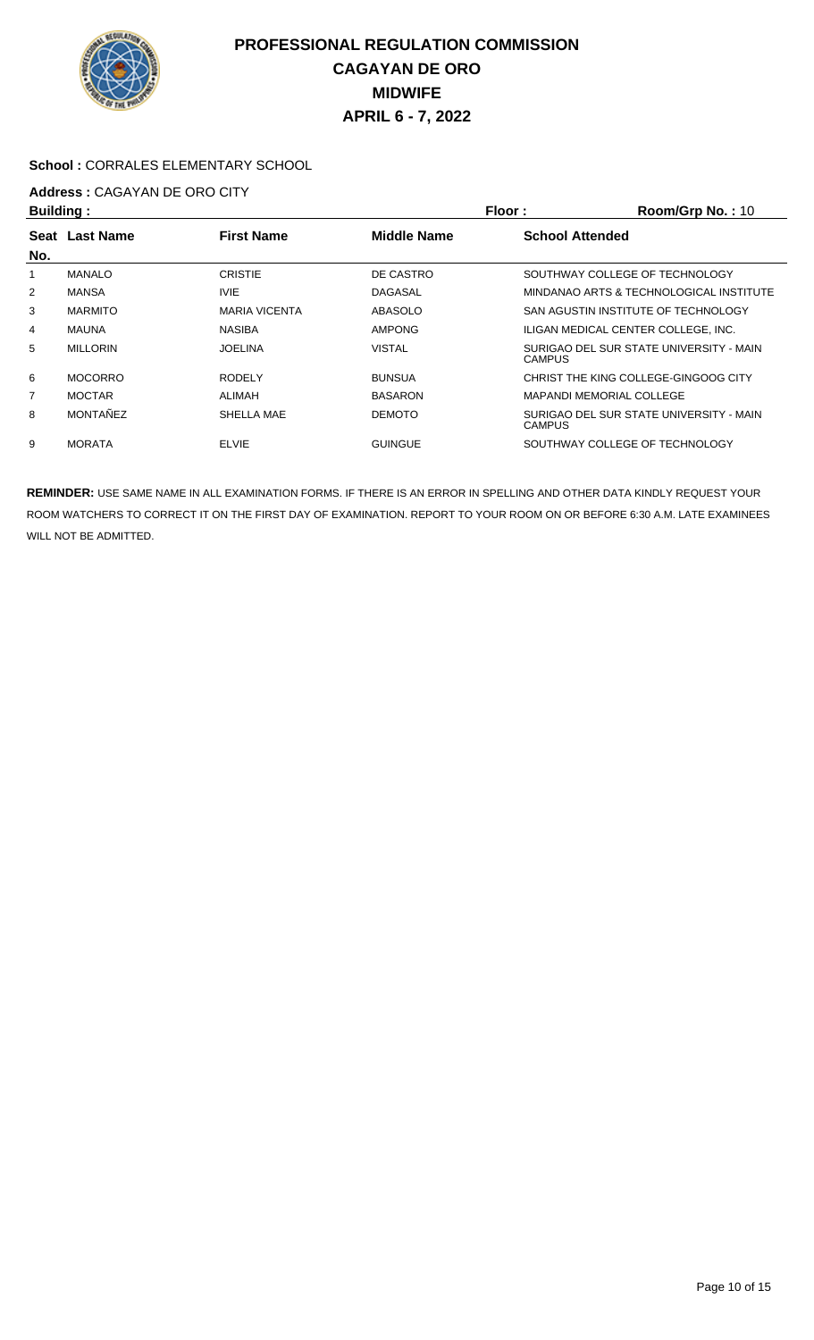

#### **School :** CORRALES ELEMENTARY SCHOOL

# **Address : CAGAYAN DE ORO CITY**<br>**Ruilding** :

| Building:      |                  |                      | Floor:             | Room/Grp No.: 10                                         |
|----------------|------------------|----------------------|--------------------|----------------------------------------------------------|
| Seat           | <b>Last Name</b> | <b>First Name</b>    | <b>Middle Name</b> | <b>School Attended</b>                                   |
| No.            |                  |                      |                    |                                                          |
|                | <b>MANALO</b>    | <b>CRISTIE</b>       | DE CASTRO          | SOUTHWAY COLLEGE OF TECHNOLOGY                           |
| 2              | <b>MANSA</b>     | <b>IVIE</b>          | <b>DAGASAL</b>     | MINDANAO ARTS & TECHNOLOGICAL INSTITUTE                  |
| 3              | <b>MARMITO</b>   | <b>MARIA VICENTA</b> | ABASOLO            | SAN AGUSTIN INSTITUTE OF TECHNOLOGY                      |
| 4              | MAUNA            | <b>NASIBA</b>        | <b>AMPONG</b>      | ILIGAN MEDICAL CENTER COLLEGE. INC.                      |
| 5              | <b>MILLORIN</b>  | <b>JOELINA</b>       | <b>VISTAL</b>      | SURIGAO DEL SUR STATE UNIVERSITY - MAIN<br><b>CAMPUS</b> |
| 6              | <b>MOCORRO</b>   | <b>RODELY</b>        | <b>BUNSUA</b>      | CHRIST THE KING COLLEGE-GINGOOG CITY                     |
| $\overline{7}$ | <b>MOCTAR</b>    | ALIMAH               | <b>BASARON</b>     | <b>MAPANDI MEMORIAL COLLEGE</b>                          |
| 8              | MONTAÑEZ         | SHELLA MAE           | <b>DEMOTO</b>      | SURIGAO DEL SUR STATE UNIVERSITY - MAIN<br><b>CAMPUS</b> |
| 9              | <b>MORATA</b>    | <b>ELVIE</b>         | <b>GUINGUE</b>     | SOUTHWAY COLLEGE OF TECHNOLOGY                           |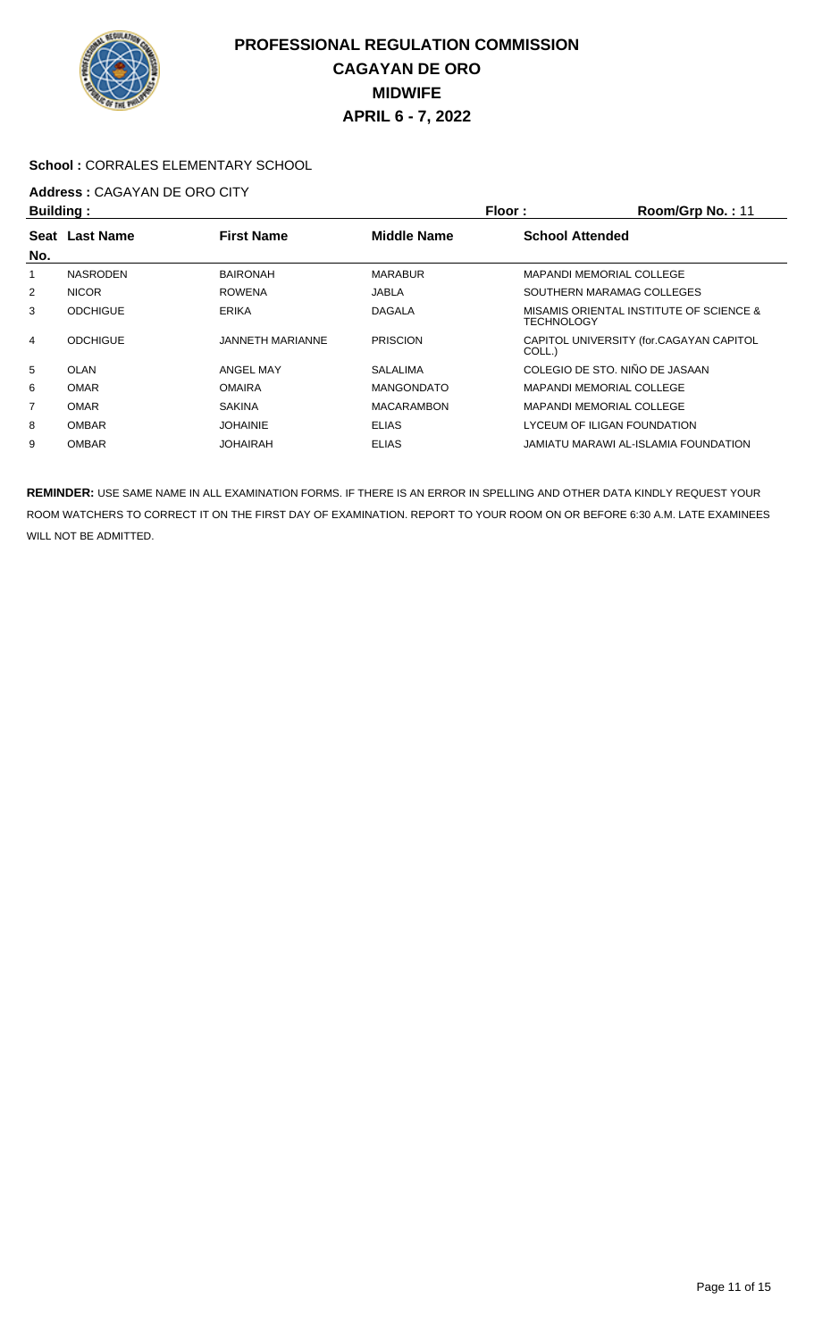

#### **School :** CORRALES ELEMENTARY SCHOOL

# **Address : CAGAYAN DE ORO CITY**<br>**Ruilding** :

| <b>Building:</b> |                  |                   | Floor:             | Room/Grp No.: 11                                      |
|------------------|------------------|-------------------|--------------------|-------------------------------------------------------|
| Seat             | <b>Last Name</b> | <b>First Name</b> | <b>Middle Name</b> | <b>School Attended</b>                                |
| No.              |                  |                   |                    |                                                       |
|                  | <b>NASRODEN</b>  | <b>BAIRONAH</b>   | <b>MARABUR</b>     | <b>MAPANDI MEMORIAL COLLEGE</b>                       |
| 2                | <b>NICOR</b>     | <b>ROWENA</b>     | JABLA              | SOUTHERN MARAMAG COLLEGES                             |
| 3                | <b>ODCHIGUE</b>  | <b>ERIKA</b>      | <b>DAGALA</b>      | MISAMIS ORIENTAL INSTITUTE OF SCIENCE &<br>TECHNOLOGY |
| 4                | <b>ODCHIGUE</b>  | JANNETH MARIANNE  | <b>PRISCION</b>    | CAPITOL UNIVERSITY (for.CAGAYAN CAPITOL<br>COLL.)     |
| 5                | OLAN             | <b>ANGEL MAY</b>  | SALALIMA           | COLEGIO DE STO. NIÑO DE JASAAN                        |
| 6                | <b>OMAR</b>      | <b>OMAIRA</b>     | <b>MANGONDATO</b>  | <b>MAPANDI MEMORIAL COLLEGE</b>                       |
| 7                | <b>OMAR</b>      | <b>SAKINA</b>     | <b>MACARAMBON</b>  | <b>MAPANDI MEMORIAL COLLEGE</b>                       |
| 8                | <b>OMBAR</b>     | <b>JOHAINIE</b>   | <b>ELIAS</b>       | LYCEUM OF ILIGAN FOUNDATION                           |
| 9                | <b>OMBAR</b>     | JOHAIRAH          | <b>ELIAS</b>       | JAMIATU MARAWI AL-ISLAMIA FOUNDATION                  |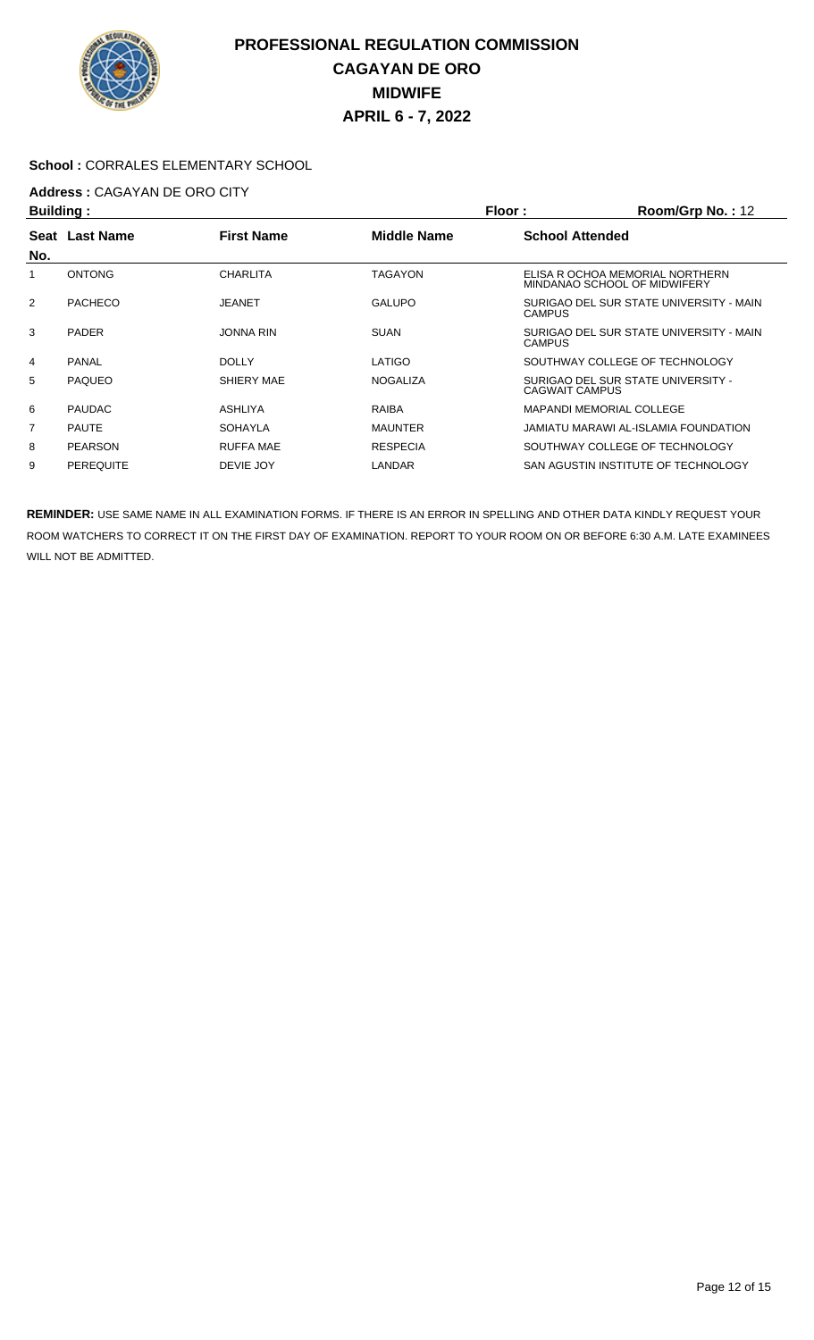

#### **School :** CORRALES ELEMENTARY SCHOOL

# **Address :** CAGAYAN DE ORO CITY

| <b>Building:</b> |                  |                   |                    | Floor:<br>Room/Grp No.: 12 |                                                                 |  |
|------------------|------------------|-------------------|--------------------|----------------------------|-----------------------------------------------------------------|--|
|                  | Seat Last Name   | <b>First Name</b> | <b>Middle Name</b> | <b>School Attended</b>     |                                                                 |  |
| No.              |                  |                   |                    |                            |                                                                 |  |
|                  | <b>ONTONG</b>    | CHARLITA          | <b>TAGAYON</b>     |                            | ELISA R OCHOA MEMORIAL NORTHERN<br>MINDANAO SCHOOL OF MIDWIFERY |  |
| 2                | PACHECO          | <b>JEANET</b>     | <b>GALUPO</b>      | <b>CAMPUS</b>              | SURIGAO DEL SUR STATE UNIVERSITY - MAIN                         |  |
| 3                | <b>PADER</b>     | <b>JONNA RIN</b>  | <b>SUAN</b>        | CAMPUS                     | SURIGAO DEL SUR STATE UNIVERSITY - MAIN                         |  |
| 4                | <b>PANAL</b>     | <b>DOLLY</b>      | LATIGO             |                            | SOUTHWAY COLLEGE OF TECHNOLOGY                                  |  |
| 5                | <b>PAQUEO</b>    | SHIERY MAE        | <b>NOGALIZA</b>    | CAGWAIT CAMPUS             | SURIGAO DEL SUR STATE UNIVERSITY -                              |  |
| 6                | <b>PAUDAC</b>    | ASHLIYA           | <b>RAIBA</b>       |                            | <b>MAPANDI MEMORIAL COLLEGE</b>                                 |  |
| 7                | <b>PAUTE</b>     | <b>SOHAYLA</b>    | <b>MAUNTER</b>     |                            | JAMIATU MARAWI AL-ISLAMIA FOUNDATION                            |  |
| 8                | <b>PEARSON</b>   | <b>RUFFA MAE</b>  | <b>RESPECIA</b>    |                            | SOUTHWAY COLLEGE OF TECHNOLOGY                                  |  |
| 9                | <b>PEREQUITE</b> | DEVIE JOY         | LANDAR             |                            | SAN AGUSTIN INSTITUTE OF TECHNOLOGY                             |  |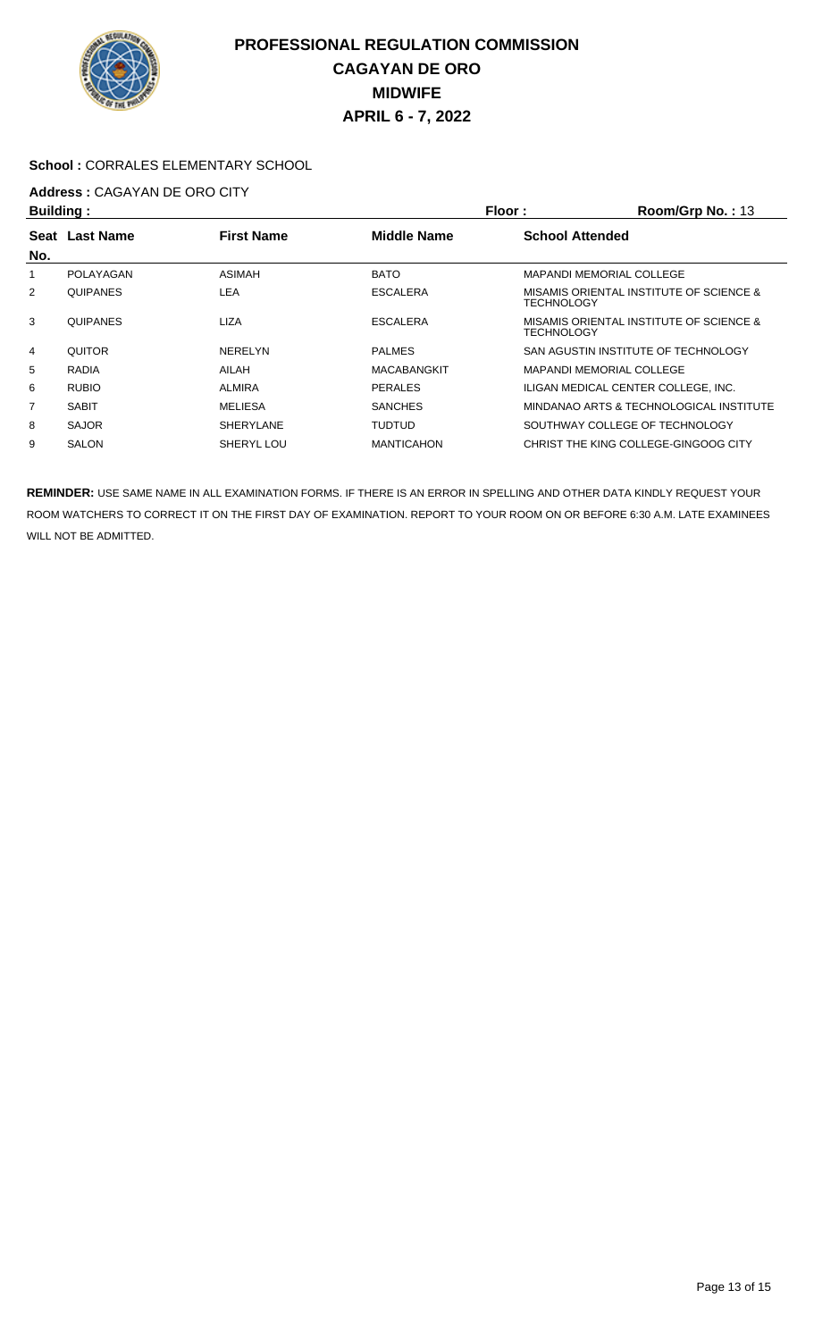

### **School :** CORRALES ELEMENTARY SCHOOL

# **Address : CAGAYAN DE ORO CITY**<br>**Ruilding** :

| <b>Building:</b> |                 |                                  |                    | Floor:<br>Room/Grp No.: 13 |                                         |  |
|------------------|-----------------|----------------------------------|--------------------|----------------------------|-----------------------------------------|--|
|                  | Seat Last Name  | <b>First Name</b><br>Middle Name |                    | <b>School Attended</b>     |                                         |  |
| No.              |                 |                                  |                    |                            |                                         |  |
|                  | POLAYAGAN       | <b>ASIMAH</b>                    | <b>BATO</b>        |                            | <b>MAPANDI MEMORIAL COLLEGE</b>         |  |
| 2                | <b>QUIPANES</b> | LEA                              | <b>ESCALERA</b>    | <b>TECHNOLOGY</b>          | MISAMIS ORIENTAL INSTITUTE OF SCIENCE & |  |
| 3                | <b>QUIPANES</b> | LIZA                             | <b>ESCALERA</b>    | <b>TECHNOLOGY</b>          | MISAMIS ORIENTAL INSTITUTE OF SCIENCE & |  |
| $\overline{4}$   | <b>QUITOR</b>   | <b>NERELYN</b>                   | <b>PALMES</b>      |                            | SAN AGUSTIN INSTITUTE OF TECHNOLOGY     |  |
| 5                | <b>RADIA</b>    | AILAH                            | <b>MACABANGKIT</b> |                            | <b>MAPANDI MEMORIAL COLLEGE</b>         |  |
| 6                | <b>RUBIO</b>    | <b>ALMIRA</b>                    | <b>PERALES</b>     |                            | ILIGAN MEDICAL CENTER COLLEGE. INC.     |  |
| 7                | <b>SABIT</b>    | <b>MELIESA</b>                   | <b>SANCHES</b>     |                            | MINDANAO ARTS & TECHNOLOGICAL INSTITUTE |  |
| 8                | <b>SAJOR</b>    | <b>SHERYLANE</b>                 | <b>TUDTUD</b>      |                            | SOUTHWAY COLLEGE OF TECHNOLOGY          |  |
| 9                | <b>SALON</b>    | SHERYL LOU                       | <b>MANTICAHON</b>  |                            | CHRIST THE KING COLLEGE-GINGOOG CITY    |  |
|                  |                 |                                  |                    |                            |                                         |  |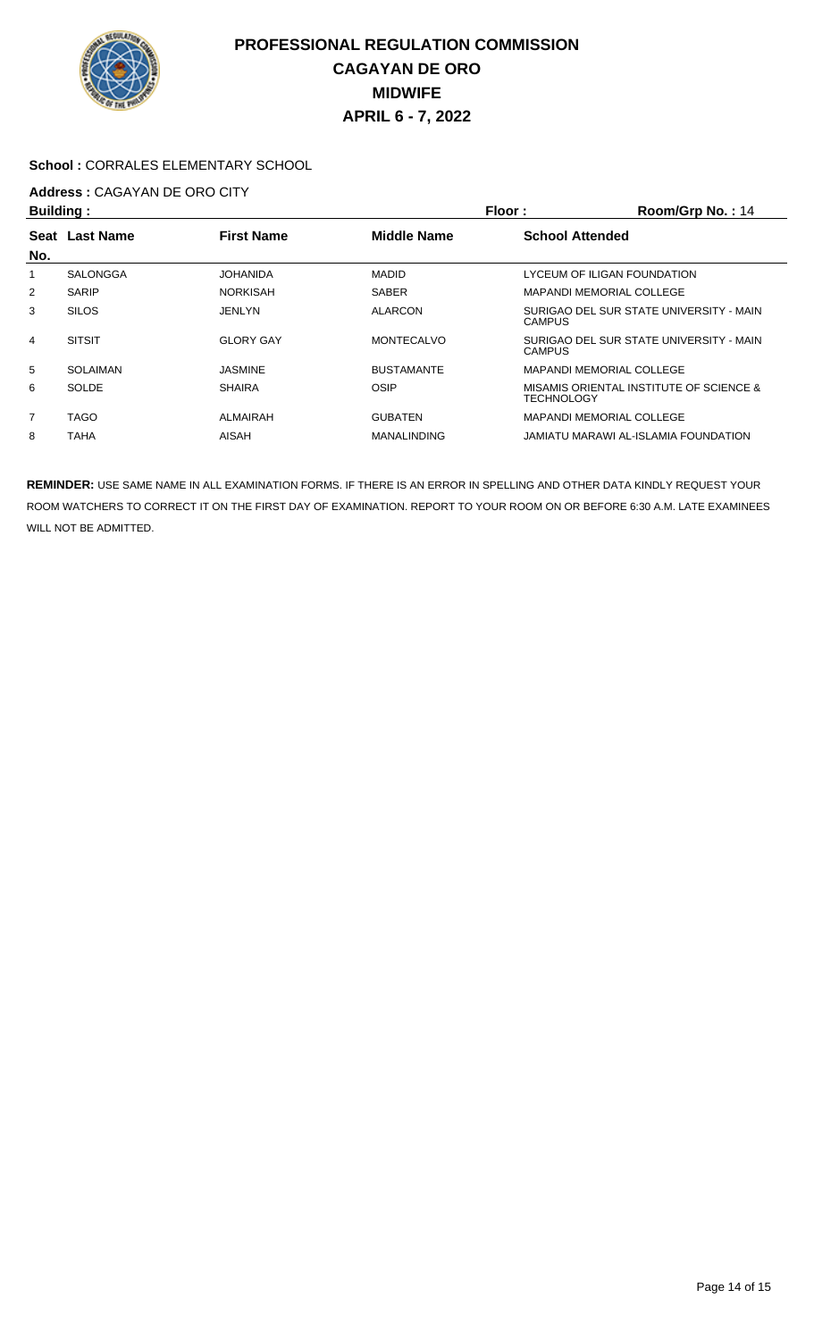

#### **School :** CORRALES ELEMENTARY SCHOOL

# **Address : CAGAYAN DE ORO CITY**<br>**Ruilding** :

| <b>Building:</b> |                |                   |                    | Floor:                          | Room/Grp No.: 14                        |  |  |
|------------------|----------------|-------------------|--------------------|---------------------------------|-----------------------------------------|--|--|
|                  | Seat Last Name | <b>First Name</b> | <b>Middle Name</b> |                                 | <b>School Attended</b>                  |  |  |
| No.              |                |                   |                    |                                 |                                         |  |  |
|                  | SALONGGA       | <b>JOHANIDA</b>   | <b>MADID</b>       | LYCEUM OF ILIGAN FOUNDATION     |                                         |  |  |
| 2                | <b>SARIP</b>   | <b>NORKISAH</b>   | <b>SABER</b>       | <b>MAPANDI MEMORIAL COLLEGE</b> |                                         |  |  |
| 3                | <b>SILOS</b>   | <b>JENLYN</b>     | <b>ALARCON</b>     | <b>CAMPUS</b>                   | SURIGAO DEL SUR STATE UNIVERSITY - MAIN |  |  |
| 4                | <b>SITSIT</b>  | <b>GLORY GAY</b>  | <b>MONTECALVO</b>  | <b>CAMPUS</b>                   | SURIGAO DEL SUR STATE UNIVERSITY - MAIN |  |  |
| 5                | SOLAIMAN       | <b>JASMINE</b>    | <b>BUSTAMANTE</b>  | <b>MAPANDI MEMORIAL COLLEGE</b> |                                         |  |  |
| 6                | <b>SOLDE</b>   | <b>SHAIRA</b>     | OSIP               | TECHNOLOGY                      | MISAMIS ORIENTAL INSTITUTE OF SCIENCE & |  |  |
| 7                | <b>TAGO</b>    | ALMAIRAH          | <b>GUBATEN</b>     | <b>MAPANDI MEMORIAL COLLEGE</b> |                                         |  |  |
| 8                | TAHA           | AISAH             | <b>MANALINDING</b> |                                 | JAMIATU MARAWI AL-ISLAMIA FOUNDATION    |  |  |